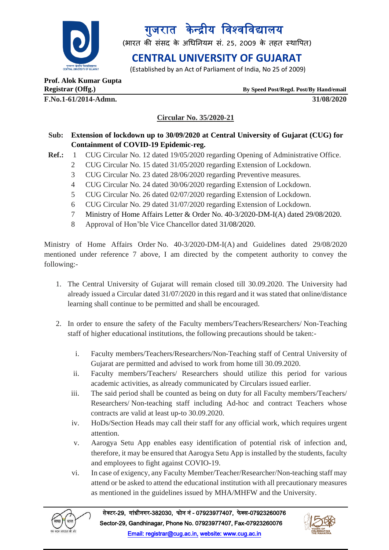

गुजरात केन्द्रीय विश्वविद्यालय

(भारत की संसद के अधिनियम सं. 25, 2009 के तहत स्थापित)

# **CENTRAL UNIVERSITY OF GUJARAT**

(Established by an Act of Parliament of India, No 25 of 2009)

**Prof. Alok Kumar Gupta**

**F.No.1-61/2014-Admn. 31/08/2020**

**Registrar (Offg.) By Speed Post/Regd. Post/By Hand/email**

### **Circular No. 35/2020-21**

### **Sub: Extension of lockdown up to 30/09/2020 at Central University of Gujarat (CUG) for Containment of COVID-19 Epidemic-reg.**

- **Ref.:** 1 CUG Circular No. 12 dated 19/05/2020 regarding Opening of Administrative Office.
	- 2 CUG Circular No. 15 dated 31/05/2020 regarding Extension of Lockdown.
	- 3 CUG Circular No. 23 dated 28/06/2020 regarding Preventive measures.
	- 4 CUG Circular No. 24 dated 30/06/2020 regarding Extension of Lockdown.
	- 5 CUG Circular No. 26 dated 02/07/2020 regarding Extension of Lockdown.
	- 6 CUG Circular No. 29 dated 31/07/2020 regarding Extension of Lockdown.
	- 7 Ministry of Home Affairs Letter & Order No. 40-3/2020-DM-I(A) dated 29/08/2020.
	- 8 Approval of Hon'ble Vice Chancellor dated 31/08/2020.

Ministry of Home Affairs Order No. 40-3/2020-DM-I(A) and Guidelines dated 29/08/2020 mentioned under reference 7 above, I am directed by the competent authority to convey the following:-

- 1. The Central University of Gujarat will remain closed till 30.09.2020. The University had already issued a Circular dated 31/07/2020 in this regard and it was stated that online/distance learning shall continue to be permitted and shall be encouraged.
- 2. In order to ensure the safety of the Faculty members/Teachers/Researchers/ Non-Teaching staff of higher educational institutions, the following precautions should be taken:
	- i. Faculty members/Teachers/Researchers/Non-Teaching staff of Central University of Gujarat are permitted and advised to work from home till 30.09.2020.
	- ii. Faculty members/Teachers/ Researchers should utilize this period for various academic activities, as already communicated by Circulars issued earlier.
	- iii. The said period shall be counted as being on duty for all Faculty members/Teachers/ Researchers/ Non-teaching staff including Ad-hoc and contract Teachers whose contracts are valid at least up-to 30.09.2020.
	- iv. HoDs/Section Heads may call their staff for any official work, which requires urgent attention.
	- v. Aarogya Setu App enables easy identification of potential risk of infection and, therefore, it may be ensured that Aarogya Setu App is installed by the students, faculty and employees to fight against COVIO-19.
	- vi. In case of exigency, any Faculty Member/Teacher/Researcher/Non-teaching staff may attend or be asked to attend the educational institution with all precautionary measures as mentioned in the guidelines issued by MHA/MHFW and the University.